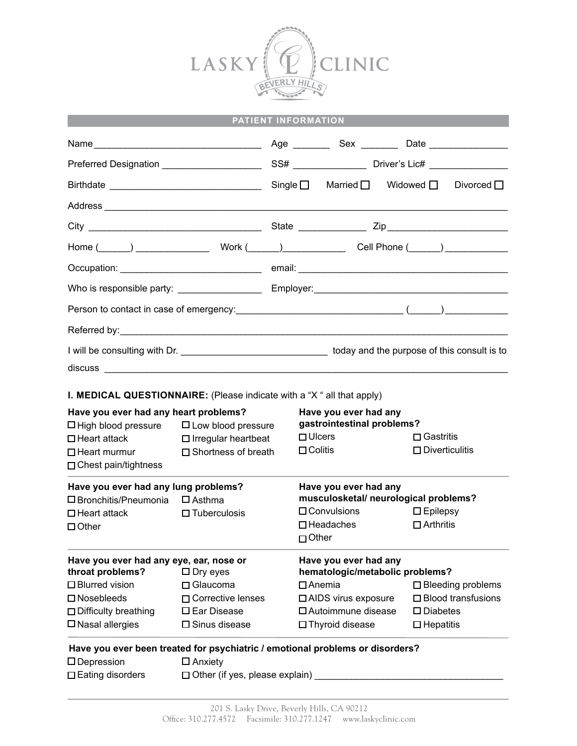

| PATIENT INFORMATION                                                               |                                       |  |                                                                                   |                                                     |  |                           |                             |
|-----------------------------------------------------------------------------------|---------------------------------------|--|-----------------------------------------------------------------------------------|-----------------------------------------------------|--|---------------------------|-----------------------------|
|                                                                                   |                                       |  |                                                                                   |                                                     |  |                           |                             |
|                                                                                   |                                       |  |                                                                                   |                                                     |  |                           |                             |
|                                                                                   |                                       |  |                                                                                   | Single $\Box$ Married $\Box$ Widowed $\Box$         |  |                           | Divorced $\Box$             |
|                                                                                   |                                       |  |                                                                                   |                                                     |  |                           |                             |
|                                                                                   |                                       |  |                                                                                   |                                                     |  |                           |                             |
|                                                                                   |                                       |  |                                                                                   |                                                     |  |                           |                             |
|                                                                                   |                                       |  |                                                                                   |                                                     |  |                           |                             |
|                                                                                   |                                       |  |                                                                                   |                                                     |  |                           |                             |
|                                                                                   |                                       |  |                                                                                   |                                                     |  |                           |                             |
|                                                                                   |                                       |  |                                                                                   |                                                     |  |                           |                             |
|                                                                                   |                                       |  |                                                                                   |                                                     |  |                           |                             |
| <b>I. MEDICAL QUESTIONNAIRE:</b> (Please indicate with a "X" all that apply)      |                                       |  |                                                                                   |                                                     |  |                           |                             |
| Have you ever had any heart problems?                                             | $\Box$ Low blood pressure             |  |                                                                                   | Have you ever had any<br>gastrointestinal problems? |  |                           |                             |
| $\square$ High blood pressure<br>$\square$ Heart attack                           | $\Box$ Irregular heartbeat            |  | $\Box$ Ulcers                                                                     |                                                     |  | $\Box$ Gastritis          |                             |
| $\Box$ Heart murmur<br>$\Box$ Chest pain/tightness                                | □ Shortness of breath                 |  | $\Box$ Colitis                                                                    |                                                     |  | $\square$ Diverticulitis  |                             |
| Have you ever had any lung problems?                                              |                                       |  |                                                                                   | Have you ever had any                               |  |                           |                             |
| $\square$ Bronchitis/Pneumonia                                                    | $\Box$ Asthma                         |  | musculosketal/ neurological problems?<br>$\Box$ Convulsions<br>$\square$ Epilepsy |                                                     |  |                           |                             |
| $\Box$ Heart attack<br>$\Box$ Other                                               | $\Box$ Tuberculosis                   |  |                                                                                   | $\Box$ Headaches<br>$\Box$ Other                    |  | $\Box$ Arthritis          |                             |
| Have you ever had any eye, ear, nose or<br>throat problems?<br>$\square$ Dry eyes |                                       |  | Have you ever had any<br>hematologic/metabolic problems?                          |                                                     |  |                           |                             |
| $\square$ Blurred vision                                                          | $\Box$ Glaucoma                       |  |                                                                                   | $\Box$ Anemia                                       |  |                           | $\square$ Bleeding problems |
| $\square$ Nosebleeds                                                              | □ Corrective lenses                   |  | □ AIDS virus exposure                                                             |                                                     |  | $\Box$ Blood transfusions |                             |
| $\Box$ Difficulty breathing                                                       | $\square$ Ear Disease                 |  | $\square$ Autoimmune disease                                                      |                                                     |  | $\square$ Diabetes        |                             |
| $\square$ Nasal allergies                                                         | $\square$ Sinus disease               |  | $\Box$ Thyroid disease<br>$\Box$ Hepatitis                                        |                                                     |  |                           |                             |
| Have you ever been treated for psychiatric / emotional problems or disorders?     |                                       |  |                                                                                   |                                                     |  |                           |                             |
| $\square$ Depression                                                              | $\square$ Anxiety                     |  |                                                                                   |                                                     |  |                           |                             |
| $\square$ Eating disorders                                                        | $\Box$ Other (if yes, please explain) |  |                                                                                   |                                                     |  |                           |                             |